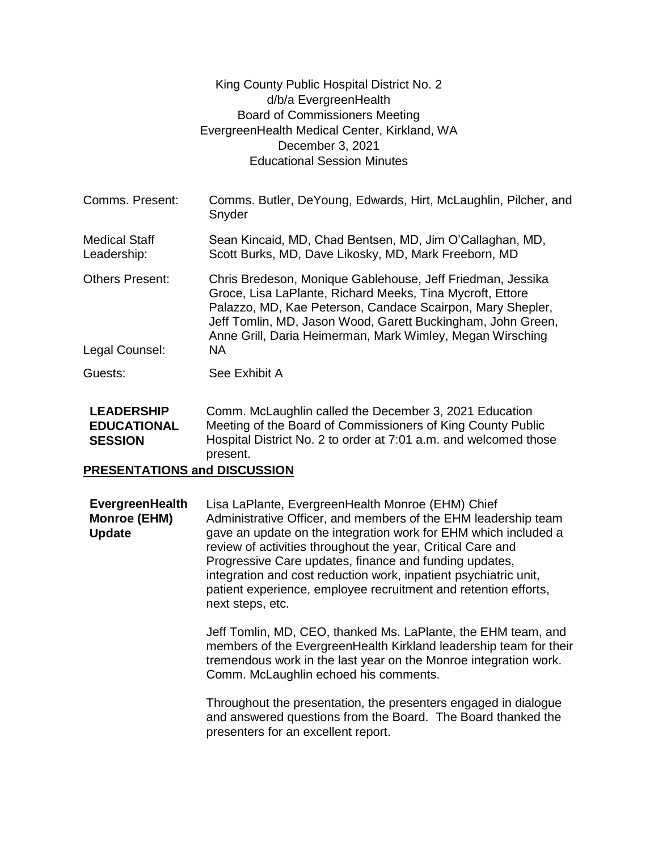|                                          | King County Public Hospital District No. 2<br>d/b/a EvergreenHealth<br><b>Board of Commissioners Meeting</b><br>EvergreenHealth Medical Center, Kirkland, WA<br>December 3, 2021<br><b>Educational Session Minutes</b>                                                                                                  |
|------------------------------------------|-------------------------------------------------------------------------------------------------------------------------------------------------------------------------------------------------------------------------------------------------------------------------------------------------------------------------|
| Comms. Present:                          | Comms. Butler, DeYoung, Edwards, Hirt, McLaughlin, Pilcher, and<br>Snyder                                                                                                                                                                                                                                               |
| <b>Medical Staff</b><br>Leadership:      | Sean Kincaid, MD, Chad Bentsen, MD, Jim O'Callaghan, MD,<br>Scott Burks, MD, Dave Likosky, MD, Mark Freeborn, MD                                                                                                                                                                                                        |
| <b>Others Present:</b><br>Legal Counsel: | Chris Bredeson, Monique Gablehouse, Jeff Friedman, Jessika<br>Groce, Lisa LaPlante, Richard Meeks, Tina Mycroft, Ettore<br>Palazzo, MD, Kae Peterson, Candace Scairpon, Mary Shepler,<br>Jeff Tomlin, MD, Jason Wood, Garett Buckingham, John Green,<br>Anne Grill, Daria Heimerman, Mark Wimley, Megan Wirsching<br>NA |
| Guests:                                  | See Exhibit A                                                                                                                                                                                                                                                                                                           |
| <b>LEADERSHIP</b><br><b>EDUCATIONAL</b>  | Comm. McLaughlin called the December 3, 2021 Education<br>Meeting of the Board of Commissioners of King County Public                                                                                                                                                                                                   |

**EDUCATIONAL SESSION** Meeting of the Board of Commissioners of King County Public Hospital District No. 2 to order at 7:01 a.m. and welcomed those present.

## **PRESENTATIONS and DISCUSSION**

**EvergreenHealth Monroe (EHM) Update** Lisa LaPlante, EvergreenHealth Monroe (EHM) Chief Administrative Officer, and members of the EHM leadership team gave an update on the integration work for EHM which included a review of activities throughout the year, Critical Care and Progressive Care updates, finance and funding updates, integration and cost reduction work, inpatient psychiatric unit, patient experience, employee recruitment and retention efforts, next steps, etc.

> Jeff Tomlin, MD, CEO, thanked Ms. LaPlante, the EHM team, and members of the EvergreenHealth Kirkland leadership team for their tremendous work in the last year on the Monroe integration work. Comm. McLaughlin echoed his comments.

Throughout the presentation, the presenters engaged in dialogue and answered questions from the Board. The Board thanked the presenters for an excellent report.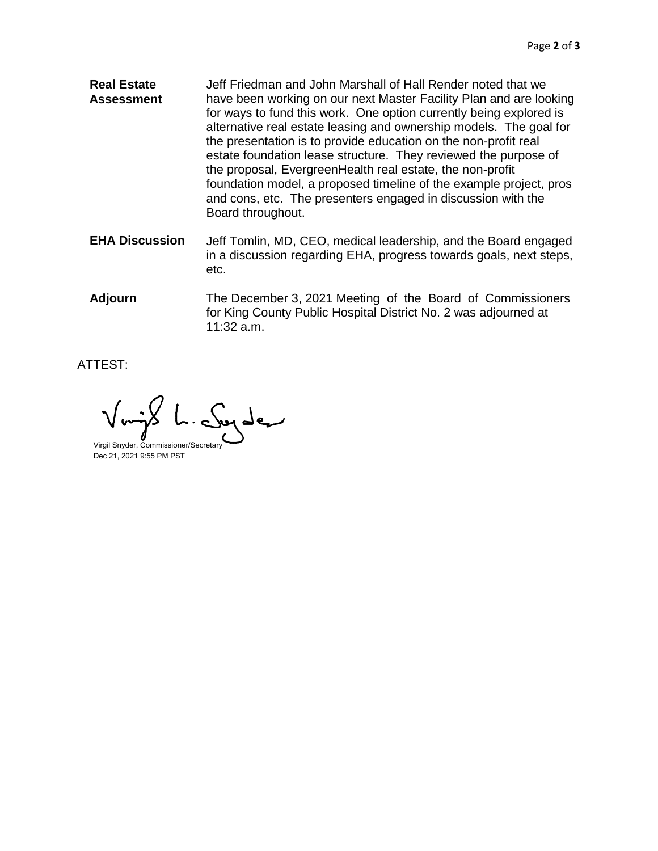- **Real Estate Assessment** Jeff Friedman and John Marshall of Hall Render noted that we have been working on our next Master Facility Plan and are looking for ways to fund this work. One option currently being explored is alternative real estate leasing and ownership models. The goal for the presentation is to provide education on the non-profit real estate foundation lease structure. They reviewed the purpose of the proposal, EvergreenHealth real estate, the non-profit foundation model, a proposed timeline of the example project, pros and cons, etc. The presenters engaged in discussion with the Board throughout.
- **EHA Discussion** Jeff Tomlin, MD, CEO, medical leadership, and the Board engaged in a discussion regarding EHA, progress towards goals, next steps, etc.
- **Adjourn** The December 3, 2021 Meeting of the Board of Commissioners for King County Public Hospital District No. 2 was adjourned at 11:32 a.m.

ATTEST:

بمبرطيب

Virgil Snyder, Commissioner/Secretary Dec 21, 2021 9:55 PM PST